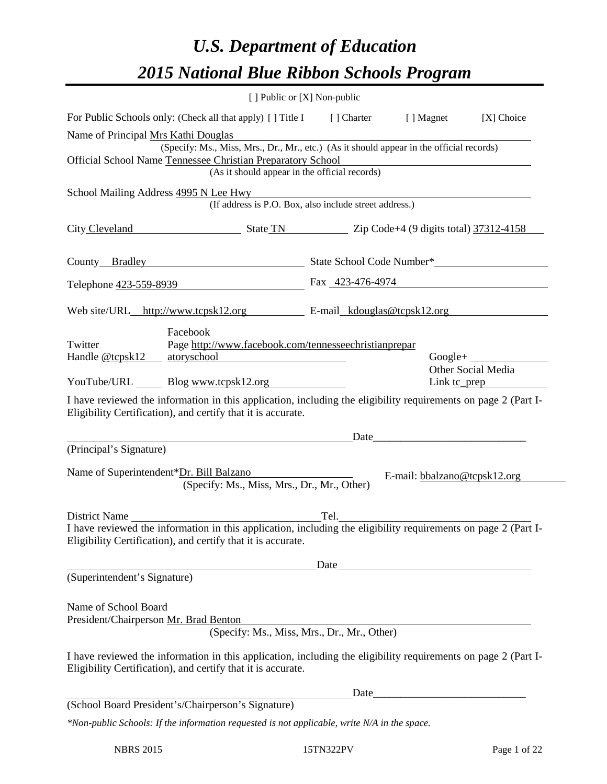# *U.S. Department of Education 2015 National Blue Ribbon Schools Program*

|                                                               | [ ] Public or [X] Non-public                                                                                                                                                           |  |                                                                                                                      |                                 |
|---------------------------------------------------------------|----------------------------------------------------------------------------------------------------------------------------------------------------------------------------------------|--|----------------------------------------------------------------------------------------------------------------------|---------------------------------|
|                                                               | For Public Schools only: (Check all that apply) [ ] Title I [ ] Charter                                                                                                                |  | [ ] Magnet                                                                                                           | [X] Choice                      |
| Name of Principal Mrs Kathi Douglas                           | (Specify: Ms., Miss, Mrs., Dr., Mr., etc.) (As it should appear in the official records)                                                                                               |  |                                                                                                                      |                                 |
|                                                               | Official School Name Tennessee Christian Preparatory School<br>(As it should appear in the official records)                                                                           |  |                                                                                                                      |                                 |
|                                                               | School Mailing Address 4995 N Lee Hwy<br>(If address is P.O. Box, also include street address.)                                                                                        |  |                                                                                                                      |                                 |
|                                                               | City Cleveland State TN State TN Zip Code+4 (9 digits total) 37312-4158                                                                                                                |  |                                                                                                                      |                                 |
|                                                               | County Bradley State School Code Number*                                                                                                                                               |  |                                                                                                                      |                                 |
|                                                               | Telephone 423-559-8939                                                                                                                                                                 |  | Fax 423-476-4974                                                                                                     |                                 |
|                                                               | Web site/URL_http://www.tcpsk12.org E-mail_kdouglas@tcpsk12.org                                                                                                                        |  |                                                                                                                      |                                 |
| Twitter                                                       | Facebook<br>Page http://www.facebook.com/tennesseechristianprepar<br>Handle <u>@tcpsk12 atoryschool</u>                                                                                |  |                                                                                                                      | $Google+$<br>Other Social Media |
|                                                               | YouTube/URL Blog www.tcpsk12.org                                                                                                                                                       |  |                                                                                                                      | Link <u>tc_prep</u>             |
|                                                               | I have reviewed the information in this application, including the eligibility requirements on page 2 (Part I-<br>Eligibility Certification), and certify that it is accurate.<br>Date |  |                                                                                                                      |                                 |
| (Principal's Signature)                                       |                                                                                                                                                                                        |  |                                                                                                                      |                                 |
|                                                               | Name of Superintendent*Dr. Bill Balzano<br>(Specify: Ms., Miss, Mrs., Dr., Mr., Other)                                                                                                 |  | E-mail: bbalzano@tcpsk12.org                                                                                         |                                 |
|                                                               |                                                                                                                                                                                        |  |                                                                                                                      |                                 |
|                                                               | I have reviewed the information in this application, including the eligibility requirements on page 2 (Part I-<br>Eligibility Certification), and certify that it is accurate.         |  |                                                                                                                      |                                 |
|                                                               |                                                                                                                                                                                        |  | Date <b>Date Date Date <i>Date Date</i></b>                                                                          |                                 |
| (Superintendent's Signature)                                  |                                                                                                                                                                                        |  |                                                                                                                      |                                 |
| Name of School Board<br>President/Chairperson Mr. Brad Benton | (Specify: Ms., Miss, Mrs., Dr., Mr., Other)                                                                                                                                            |  | <u> 1989 - Johann Barbara, martxa alemaniar amerikan basar da da a shekara 1980 - Andrew Santa Barbara, a shekar</u> |                                 |
|                                                               | I have reviewed the information in this application, including the eligibility requirements on page 2 (Part I-<br>Eligibility Certification), and certify that it is accurate.         |  |                                                                                                                      |                                 |
|                                                               |                                                                                                                                                                                        |  |                                                                                                                      |                                 |
|                                                               | (School Board President's/Chairperson's Signature)                                                                                                                                     |  |                                                                                                                      |                                 |
|                                                               | *Non-public Schools: If the information requested is not applicable, write N/A in the space.                                                                                           |  |                                                                                                                      |                                 |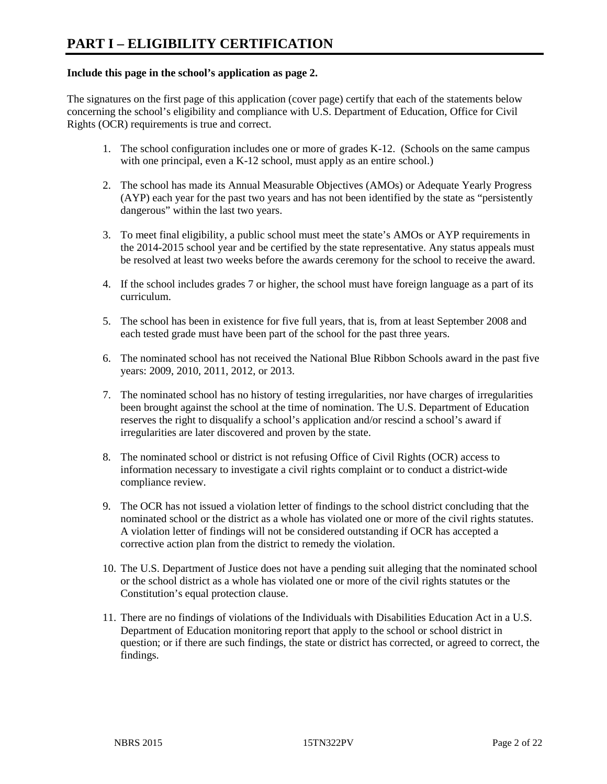#### **Include this page in the school's application as page 2.**

The signatures on the first page of this application (cover page) certify that each of the statements below concerning the school's eligibility and compliance with U.S. Department of Education, Office for Civil Rights (OCR) requirements is true and correct.

- 1. The school configuration includes one or more of grades K-12. (Schools on the same campus with one principal, even a K-12 school, must apply as an entire school.)
- 2. The school has made its Annual Measurable Objectives (AMOs) or Adequate Yearly Progress (AYP) each year for the past two years and has not been identified by the state as "persistently dangerous" within the last two years.
- 3. To meet final eligibility, a public school must meet the state's AMOs or AYP requirements in the 2014-2015 school year and be certified by the state representative. Any status appeals must be resolved at least two weeks before the awards ceremony for the school to receive the award.
- 4. If the school includes grades 7 or higher, the school must have foreign language as a part of its curriculum.
- 5. The school has been in existence for five full years, that is, from at least September 2008 and each tested grade must have been part of the school for the past three years.
- 6. The nominated school has not received the National Blue Ribbon Schools award in the past five years: 2009, 2010, 2011, 2012, or 2013.
- 7. The nominated school has no history of testing irregularities, nor have charges of irregularities been brought against the school at the time of nomination. The U.S. Department of Education reserves the right to disqualify a school's application and/or rescind a school's award if irregularities are later discovered and proven by the state.
- 8. The nominated school or district is not refusing Office of Civil Rights (OCR) access to information necessary to investigate a civil rights complaint or to conduct a district-wide compliance review.
- 9. The OCR has not issued a violation letter of findings to the school district concluding that the nominated school or the district as a whole has violated one or more of the civil rights statutes. A violation letter of findings will not be considered outstanding if OCR has accepted a corrective action plan from the district to remedy the violation.
- 10. The U.S. Department of Justice does not have a pending suit alleging that the nominated school or the school district as a whole has violated one or more of the civil rights statutes or the Constitution's equal protection clause.
- 11. There are no findings of violations of the Individuals with Disabilities Education Act in a U.S. Department of Education monitoring report that apply to the school or school district in question; or if there are such findings, the state or district has corrected, or agreed to correct, the findings.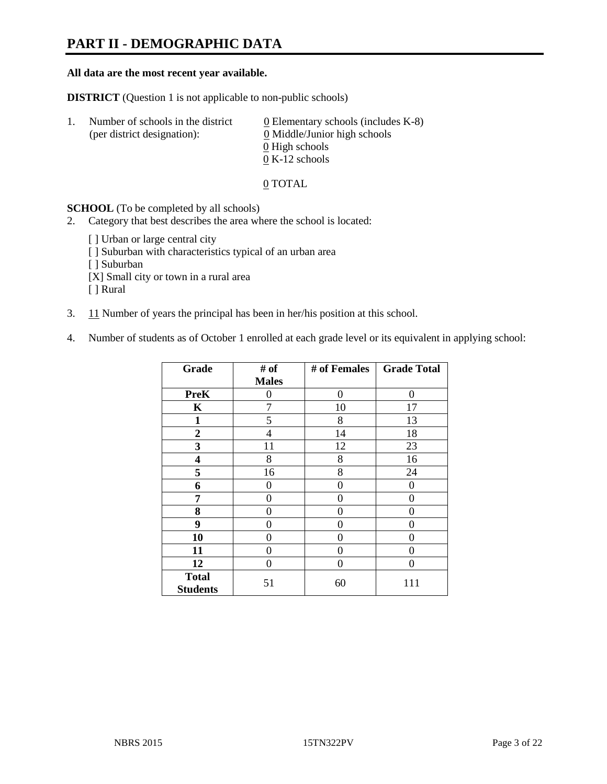# **PART II - DEMOGRAPHIC DATA**

#### **All data are the most recent year available.**

**DISTRICT** (Question 1 is not applicable to non-public schools)

| -1. | Number of schools in the district<br>(per district designation): | $\underline{0}$ Elementary schools (includes K-8)<br>0 Middle/Junior high schools<br>0 High schools |
|-----|------------------------------------------------------------------|-----------------------------------------------------------------------------------------------------|
|     |                                                                  |                                                                                                     |
|     |                                                                  | $0 K-12$ schools                                                                                    |

0 TOTAL

**SCHOOL** (To be completed by all schools)

2. Category that best describes the area where the school is located:

[ ] Urban or large central city [ ] Suburban with characteristics typical of an urban area [ ] Suburban [X] Small city or town in a rural area [ ] Rural

- 3. 11 Number of years the principal has been in her/his position at this school.
- 4. Number of students as of October 1 enrolled at each grade level or its equivalent in applying school:

| Grade                           | # of           | # of Females | <b>Grade Total</b> |
|---------------------------------|----------------|--------------|--------------------|
|                                 | <b>Males</b>   |              |                    |
| <b>PreK</b>                     | 0              | $\Omega$     | 0                  |
| K                               | 7              | 10           | 17                 |
| $\mathbf{1}$                    | 5              | 8            | 13                 |
| $\mathbf{2}$                    | $\overline{4}$ | 14           | 18                 |
| 3                               | 11             | 12           | 23                 |
| 4                               | 8              | 8            | 16                 |
| 5                               | 16             | 8            | 24                 |
| 6                               | 0              | 0            | $\theta$           |
| 7                               | 0              | 0            | 0                  |
| 8                               | 0              | 0            | 0                  |
| 9                               | 0              | 0            | $\theta$           |
| 10                              | 0              | 0            | 0                  |
| 11                              | 0              | 0            | 0                  |
| 12                              | 0              | 0            | 0                  |
| <b>Total</b><br><b>Students</b> | 51             | 60           | 111                |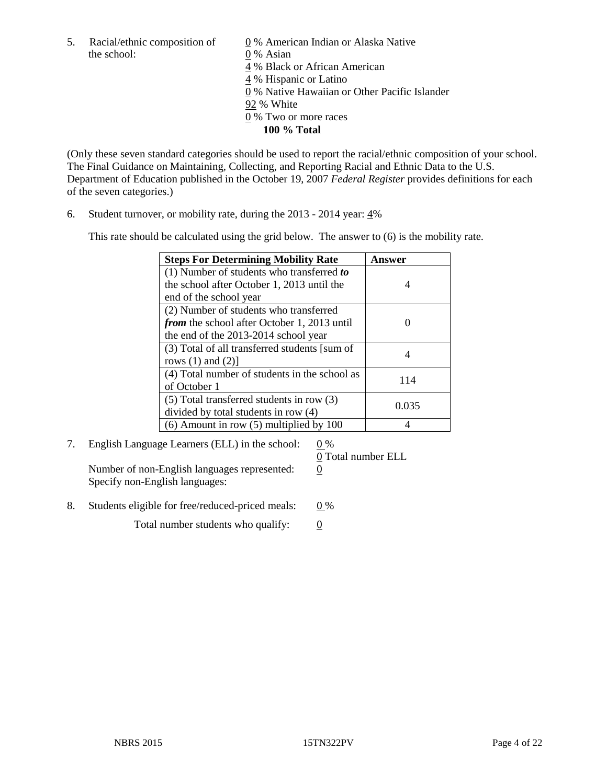5. Racial/ethnic composition of  $\qquad \qquad \underline{0}$  % American Indian or Alaska Native the school: 0 % Asian

 % Black or African American % Hispanic or Latino % Native Hawaiian or Other Pacific Islander 92 % White % Two or more races **100 % Total**

(Only these seven standard categories should be used to report the racial/ethnic composition of your school. The Final Guidance on Maintaining, Collecting, and Reporting Racial and Ethnic Data to the U.S. Department of Education published in the October 19, 2007 *Federal Register* provides definitions for each of the seven categories.)

6. Student turnover, or mobility rate, during the 2013 - 2014 year: 4%

This rate should be calculated using the grid below. The answer to (6) is the mobility rate.

| <b>Steps For Determining Mobility Rate</b>         | Answer |
|----------------------------------------------------|--------|
| $(1)$ Number of students who transferred to        |        |
| the school after October 1, 2013 until the         |        |
| end of the school year                             |        |
| (2) Number of students who transferred             |        |
| <i>from</i> the school after October 1, 2013 until |        |
| the end of the 2013-2014 school year               |        |
| (3) Total of all transferred students [sum of      |        |
| rows $(1)$ and $(2)$ ]                             |        |
| (4) Total number of students in the school as      | 114    |
| of October 1                                       |        |
| $(5)$ Total transferred students in row $(3)$      | 0.035  |
| divided by total students in row (4)               |        |
| $(6)$ Amount in row $(5)$ multiplied by 100        |        |

7. English Language Learners (ELL) in the school:  $0\%$ 

Number of non-English languages represented: 0 Specify non-English languages:

0 Total number ELL

8. Students eligible for free/reduced-priced meals:  $0\%$ 

Total number students who qualify:  $\qquad 0$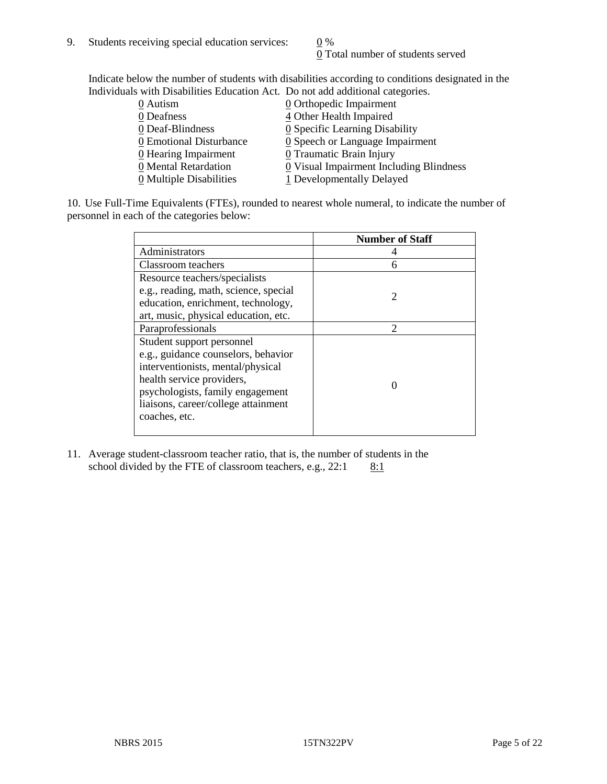0 Total number of students served

Indicate below the number of students with disabilities according to conditions designated in the Individuals with Disabilities Education Act. Do not add additional categories.

| 0 Autism                | $Q$ Orthopedic Impairment                     |
|-------------------------|-----------------------------------------------|
| 0 Deafness              | 4 Other Health Impaired                       |
| 0 Deaf-Blindness        | 0 Specific Learning Disability                |
| 0 Emotional Disturbance | $\underline{0}$ Speech or Language Impairment |
| $Q$ Hearing Impairment  | 0 Traumatic Brain Injury                      |
| 0 Mental Retardation    | 0 Visual Impairment Including Blindness       |
| 0 Multiple Disabilities | 1 Developmentally Delayed                     |
|                         |                                               |

10. Use Full-Time Equivalents (FTEs), rounded to nearest whole numeral, to indicate the number of personnel in each of the categories below:

|                                       | <b>Number of Staff</b>      |
|---------------------------------------|-----------------------------|
| Administrators                        |                             |
| Classroom teachers                    | 6                           |
| Resource teachers/specialists         |                             |
| e.g., reading, math, science, special | $\mathcal{D}_{\mathcal{A}}$ |
| education, enrichment, technology,    |                             |
| art, music, physical education, etc.  |                             |
| Paraprofessionals                     | $\mathfrak{D}$              |
| Student support personnel             |                             |
| e.g., guidance counselors, behavior   |                             |
| interventionists, mental/physical     |                             |
| health service providers,             |                             |
| psychologists, family engagement      |                             |
| liaisons, career/college attainment   |                             |
| coaches, etc.                         |                             |
|                                       |                             |

11. Average student-classroom teacher ratio, that is, the number of students in the school divided by the FTE of classroom teachers, e.g.,  $22:1$  8:1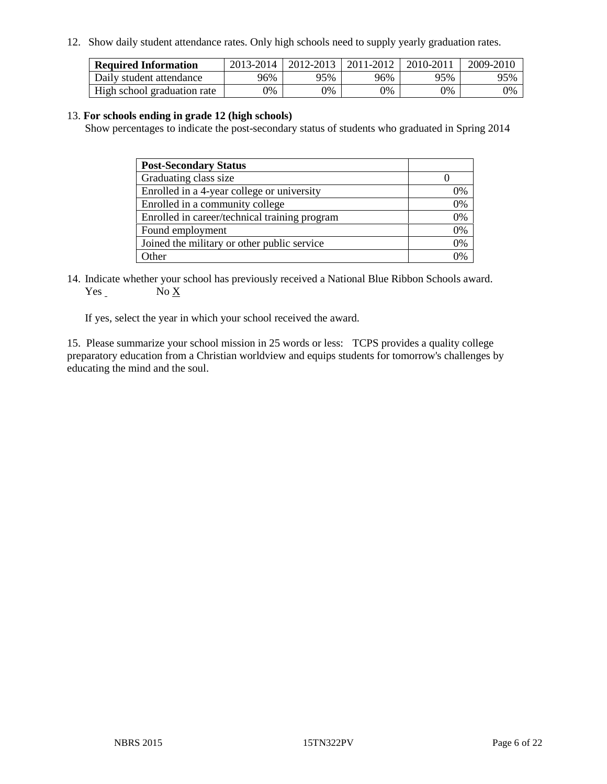12. Show daily student attendance rates. Only high schools need to supply yearly graduation rates.

| <b>Required Information</b> | 2013-2014 | 2012-2013 | 2011-2012 | 2010-2011 | 2009-2010 |
|-----------------------------|-----------|-----------|-----------|-----------|-----------|
| Daily student attendance    | 96%       | 95%       | 96%       | 95%       | 95%       |
| High school graduation rate | $9\%$     | 0%        | 0%        | 9%        | 0%        |

#### 13. **For schools ending in grade 12 (high schools)**

Show percentages to indicate the post-secondary status of students who graduated in Spring 2014

| <b>Post-Secondary Status</b>                  |    |
|-----------------------------------------------|----|
| Graduating class size                         |    |
| Enrolled in a 4-year college or university    | 0% |
| Enrolled in a community college               | 0% |
| Enrolled in career/technical training program | 0% |
| Found employment                              | 0% |
| Joined the military or other public service   | 0% |
| Other                                         |    |

14. Indicate whether your school has previously received a National Blue Ribbon Schools award. Yes No X

If yes, select the year in which your school received the award.

15. Please summarize your school mission in 25 words or less: TCPS provides a quality college preparatory education from a Christian worldview and equips students for tomorrow's challenges by educating the mind and the soul.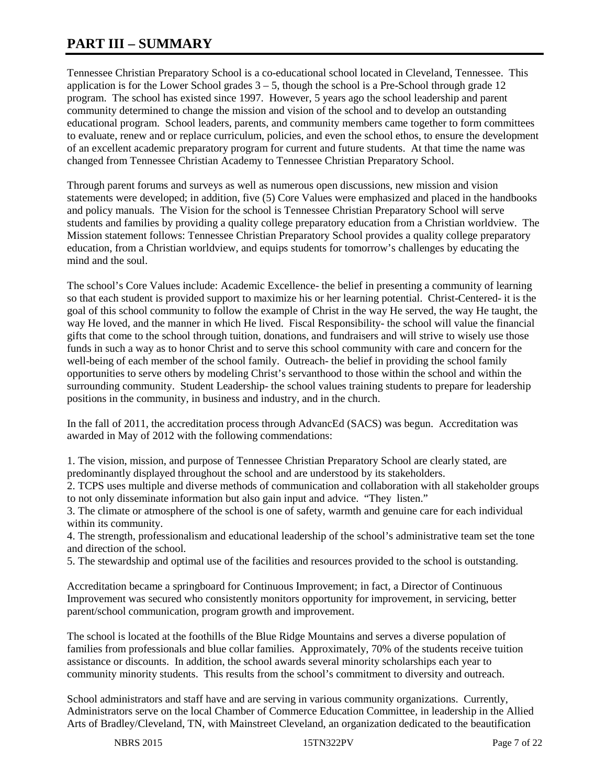# **PART III – SUMMARY**

Tennessee Christian Preparatory School is a co-educational school located in Cleveland, Tennessee. This application is for the Lower School grades  $3 - 5$ , though the school is a Pre-School through grade 12 program. The school has existed since 1997. However, 5 years ago the school leadership and parent community determined to change the mission and vision of the school and to develop an outstanding educational program. School leaders, parents, and community members came together to form committees to evaluate, renew and or replace curriculum, policies, and even the school ethos, to ensure the development of an excellent academic preparatory program for current and future students. At that time the name was changed from Tennessee Christian Academy to Tennessee Christian Preparatory School.

Through parent forums and surveys as well as numerous open discussions, new mission and vision statements were developed; in addition, five (5) Core Values were emphasized and placed in the handbooks and policy manuals. The Vision for the school is Tennessee Christian Preparatory School will serve students and families by providing a quality college preparatory education from a Christian worldview. The Mission statement follows: Tennessee Christian Preparatory School provides a quality college preparatory education, from a Christian worldview, and equips students for tomorrow's challenges by educating the mind and the soul.

The school's Core Values include: Academic Excellence- the belief in presenting a community of learning so that each student is provided support to maximize his or her learning potential. Christ-Centered- it is the goal of this school community to follow the example of Christ in the way He served, the way He taught, the way He loved, and the manner in which He lived. Fiscal Responsibility- the school will value the financial gifts that come to the school through tuition, donations, and fundraisers and will strive to wisely use those funds in such a way as to honor Christ and to serve this school community with care and concern for the well-being of each member of the school family. Outreach- the belief in providing the school family opportunities to serve others by modeling Christ's servanthood to those within the school and within the surrounding community. Student Leadership- the school values training students to prepare for leadership positions in the community, in business and industry, and in the church.

In the fall of 2011, the accreditation process through AdvancEd (SACS) was begun. Accreditation was awarded in May of 2012 with the following commendations:

1. The vision, mission, and purpose of Tennessee Christian Preparatory School are clearly stated, are predominantly displayed throughout the school and are understood by its stakeholders.

2. TCPS uses multiple and diverse methods of communication and collaboration with all stakeholder groups to not only disseminate information but also gain input and advice. "They listen."

3. The climate or atmosphere of the school is one of safety, warmth and genuine care for each individual within its community.

4. The strength, professionalism and educational leadership of the school's administrative team set the tone and direction of the school.

5. The stewardship and optimal use of the facilities and resources provided to the school is outstanding.

Accreditation became a springboard for Continuous Improvement; in fact, a Director of Continuous Improvement was secured who consistently monitors opportunity for improvement, in servicing, better parent/school communication, program growth and improvement.

The school is located at the foothills of the Blue Ridge Mountains and serves a diverse population of families from professionals and blue collar families. Approximately, 70% of the students receive tuition assistance or discounts. In addition, the school awards several minority scholarships each year to community minority students. This results from the school's commitment to diversity and outreach.

School administrators and staff have and are serving in various community organizations. Currently, Administrators serve on the local Chamber of Commerce Education Committee, in leadership in the Allied Arts of Bradley/Cleveland, TN, with Mainstreet Cleveland, an organization dedicated to the beautification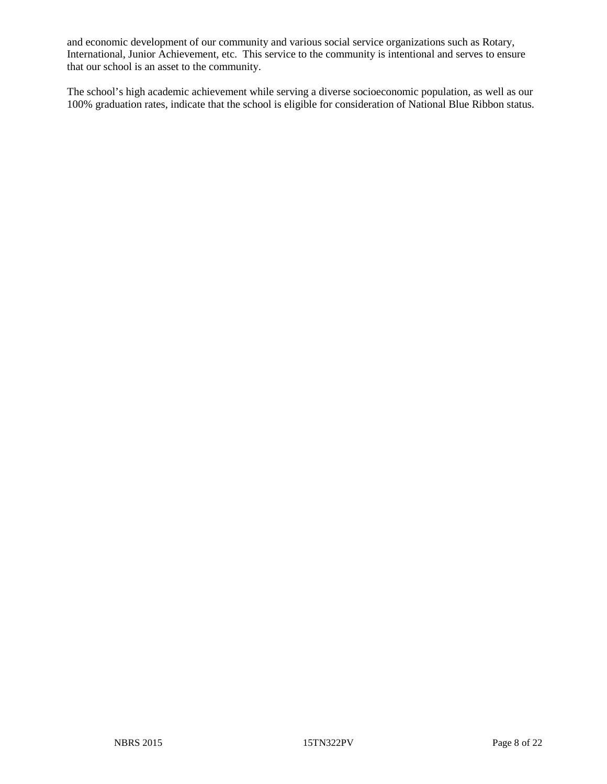and economic development of our community and various social service organizations such as Rotary, International, Junior Achievement, etc. This service to the community is intentional and serves to ensure that our school is an asset to the community.

The school's high academic achievement while serving a diverse socioeconomic population, as well as our 100% graduation rates, indicate that the school is eligible for consideration of National Blue Ribbon status.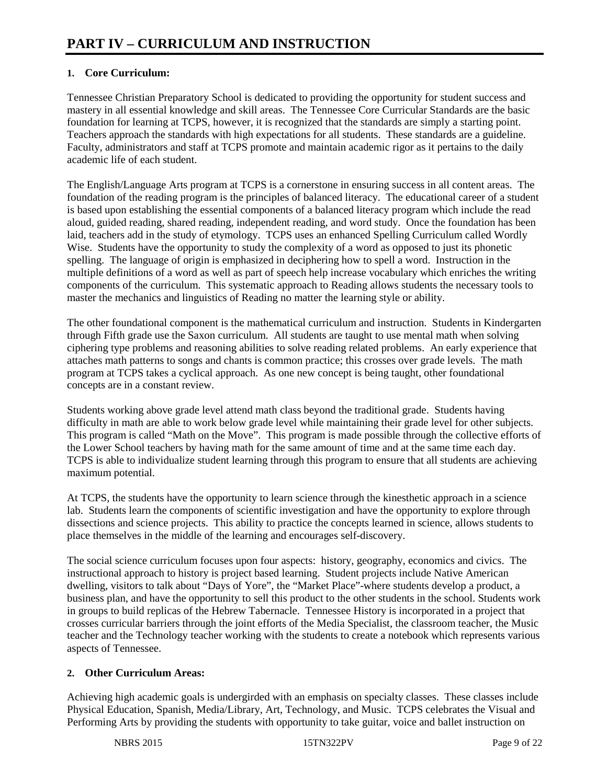# **1. Core Curriculum:**

Tennessee Christian Preparatory School is dedicated to providing the opportunity for student success and mastery in all essential knowledge and skill areas. The Tennessee Core Curricular Standards are the basic foundation for learning at TCPS, however, it is recognized that the standards are simply a starting point. Teachers approach the standards with high expectations for all students. These standards are a guideline. Faculty, administrators and staff at TCPS promote and maintain academic rigor as it pertains to the daily academic life of each student.

The English/Language Arts program at TCPS is a cornerstone in ensuring success in all content areas. The foundation of the reading program is the principles of balanced literacy. The educational career of a student is based upon establishing the essential components of a balanced literacy program which include the read aloud, guided reading, shared reading, independent reading, and word study. Once the foundation has been laid, teachers add in the study of etymology. TCPS uses an enhanced Spelling Curriculum called Wordly Wise. Students have the opportunity to study the complexity of a word as opposed to just its phonetic spelling. The language of origin is emphasized in deciphering how to spell a word. Instruction in the multiple definitions of a word as well as part of speech help increase vocabulary which enriches the writing components of the curriculum. This systematic approach to Reading allows students the necessary tools to master the mechanics and linguistics of Reading no matter the learning style or ability.

The other foundational component is the mathematical curriculum and instruction. Students in Kindergarten through Fifth grade use the Saxon curriculum. All students are taught to use mental math when solving ciphering type problems and reasoning abilities to solve reading related problems. An early experience that attaches math patterns to songs and chants is common practice; this crosses over grade levels. The math program at TCPS takes a cyclical approach. As one new concept is being taught, other foundational concepts are in a constant review.

Students working above grade level attend math class beyond the traditional grade. Students having difficulty in math are able to work below grade level while maintaining their grade level for other subjects. This program is called "Math on the Move". This program is made possible through the collective efforts of the Lower School teachers by having math for the same amount of time and at the same time each day. TCPS is able to individualize student learning through this program to ensure that all students are achieving maximum potential.

At TCPS, the students have the opportunity to learn science through the kinesthetic approach in a science lab. Students learn the components of scientific investigation and have the opportunity to explore through dissections and science projects. This ability to practice the concepts learned in science, allows students to place themselves in the middle of the learning and encourages self-discovery.

The social science curriculum focuses upon four aspects: history, geography, economics and civics. The instructional approach to history is project based learning. Student projects include Native American dwelling, visitors to talk about "Days of Yore", the "Market Place"-where students develop a product, a business plan, and have the opportunity to sell this product to the other students in the school. Students work in groups to build replicas of the Hebrew Tabernacle. Tennessee History is incorporated in a project that crosses curricular barriers through the joint efforts of the Media Specialist, the classroom teacher, the Music teacher and the Technology teacher working with the students to create a notebook which represents various aspects of Tennessee.

# **2. Other Curriculum Areas:**

Achieving high academic goals is undergirded with an emphasis on specialty classes. These classes include Physical Education, Spanish, Media/Library, Art, Technology, and Music. TCPS celebrates the Visual and Performing Arts by providing the students with opportunity to take guitar, voice and ballet instruction on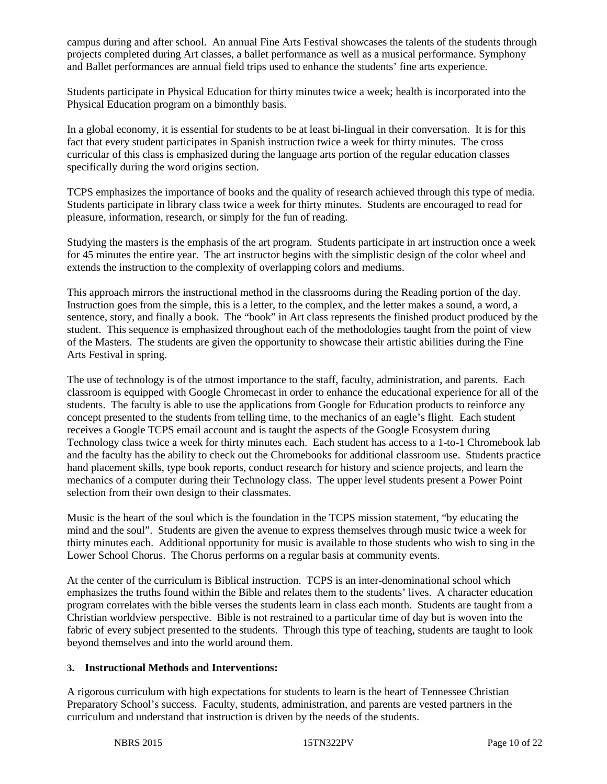campus during and after school. An annual Fine Arts Festival showcases the talents of the students through projects completed during Art classes, a ballet performance as well as a musical performance. Symphony and Ballet performances are annual field trips used to enhance the students' fine arts experience.

Students participate in Physical Education for thirty minutes twice a week; health is incorporated into the Physical Education program on a bimonthly basis.

In a global economy, it is essential for students to be at least bi-lingual in their conversation. It is for this fact that every student participates in Spanish instruction twice a week for thirty minutes. The cross curricular of this class is emphasized during the language arts portion of the regular education classes specifically during the word origins section.

TCPS emphasizes the importance of books and the quality of research achieved through this type of media. Students participate in library class twice a week for thirty minutes. Students are encouraged to read for pleasure, information, research, or simply for the fun of reading.

Studying the masters is the emphasis of the art program. Students participate in art instruction once a week for 45 minutes the entire year. The art instructor begins with the simplistic design of the color wheel and extends the instruction to the complexity of overlapping colors and mediums.

This approach mirrors the instructional method in the classrooms during the Reading portion of the day. Instruction goes from the simple, this is a letter, to the complex, and the letter makes a sound, a word, a sentence, story, and finally a book. The "book" in Art class represents the finished product produced by the student. This sequence is emphasized throughout each of the methodologies taught from the point of view of the Masters. The students are given the opportunity to showcase their artistic abilities during the Fine Arts Festival in spring.

The use of technology is of the utmost importance to the staff, faculty, administration, and parents. Each classroom is equipped with Google Chromecast in order to enhance the educational experience for all of the students. The faculty is able to use the applications from Google for Education products to reinforce any concept presented to the students from telling time, to the mechanics of an eagle's flight. Each student receives a Google TCPS email account and is taught the aspects of the Google Ecosystem during Technology class twice a week for thirty minutes each. Each student has access to a 1-to-1 Chromebook lab and the faculty has the ability to check out the Chromebooks for additional classroom use. Students practice hand placement skills, type book reports, conduct research for history and science projects, and learn the mechanics of a computer during their Technology class. The upper level students present a Power Point selection from their own design to their classmates.

Music is the heart of the soul which is the foundation in the TCPS mission statement, "by educating the mind and the soul". Students are given the avenue to express themselves through music twice a week for thirty minutes each. Additional opportunity for music is available to those students who wish to sing in the Lower School Chorus. The Chorus performs on a regular basis at community events.

At the center of the curriculum is Biblical instruction. TCPS is an inter-denominational school which emphasizes the truths found within the Bible and relates them to the students' lives. A character education program correlates with the bible verses the students learn in class each month. Students are taught from a Christian worldview perspective. Bible is not restrained to a particular time of day but is woven into the fabric of every subject presented to the students. Through this type of teaching, students are taught to look beyond themselves and into the world around them.

# **3. Instructional Methods and Interventions:**

A rigorous curriculum with high expectations for students to learn is the heart of Tennessee Christian Preparatory School's success. Faculty, students, administration, and parents are vested partners in the curriculum and understand that instruction is driven by the needs of the students.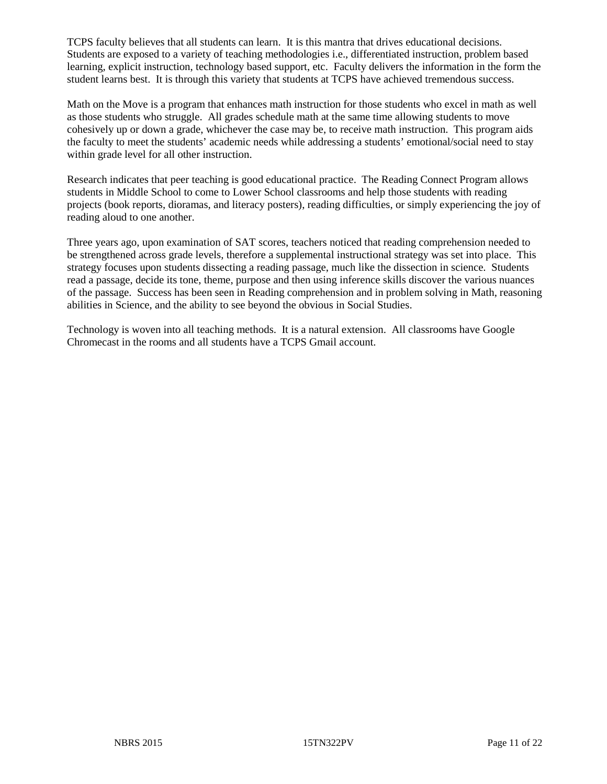TCPS faculty believes that all students can learn. It is this mantra that drives educational decisions. Students are exposed to a variety of teaching methodologies i.e., differentiated instruction, problem based learning, explicit instruction, technology based support, etc. Faculty delivers the information in the form the student learns best. It is through this variety that students at TCPS have achieved tremendous success.

Math on the Move is a program that enhances math instruction for those students who excel in math as well as those students who struggle. All grades schedule math at the same time allowing students to move cohesively up or down a grade, whichever the case may be, to receive math instruction. This program aids the faculty to meet the students' academic needs while addressing a students' emotional/social need to stay within grade level for all other instruction.

Research indicates that peer teaching is good educational practice. The Reading Connect Program allows students in Middle School to come to Lower School classrooms and help those students with reading projects (book reports, dioramas, and literacy posters), reading difficulties, or simply experiencing the joy of reading aloud to one another.

Three years ago, upon examination of SAT scores, teachers noticed that reading comprehension needed to be strengthened across grade levels, therefore a supplemental instructional strategy was set into place. This strategy focuses upon students dissecting a reading passage, much like the dissection in science. Students read a passage, decide its tone, theme, purpose and then using inference skills discover the various nuances of the passage. Success has been seen in Reading comprehension and in problem solving in Math, reasoning abilities in Science, and the ability to see beyond the obvious in Social Studies.

Technology is woven into all teaching methods. It is a natural extension. All classrooms have Google Chromecast in the rooms and all students have a TCPS Gmail account.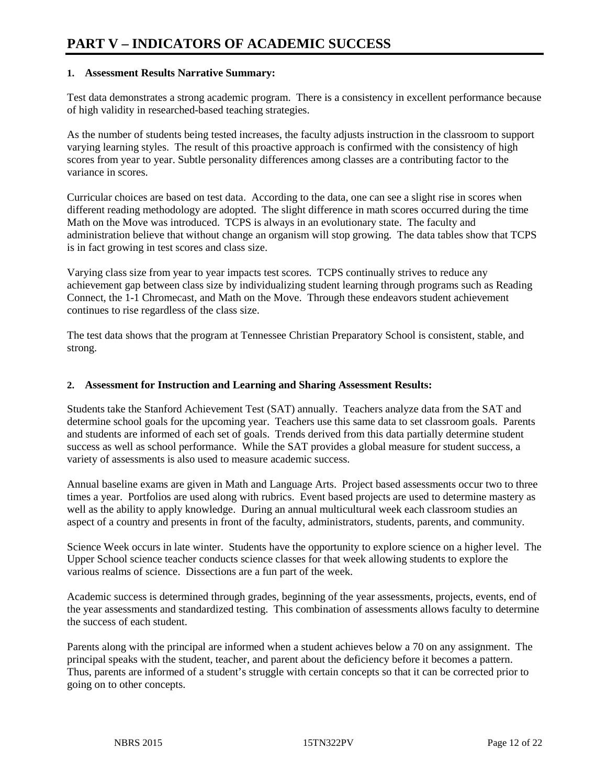#### **1. Assessment Results Narrative Summary:**

Test data demonstrates a strong academic program. There is a consistency in excellent performance because of high validity in researched-based teaching strategies.

As the number of students being tested increases, the faculty adjusts instruction in the classroom to support varying learning styles. The result of this proactive approach is confirmed with the consistency of high scores from year to year. Subtle personality differences among classes are a contributing factor to the variance in scores.

Curricular choices are based on test data. According to the data, one can see a slight rise in scores when different reading methodology are adopted. The slight difference in math scores occurred during the time Math on the Move was introduced. TCPS is always in an evolutionary state. The faculty and administration believe that without change an organism will stop growing. The data tables show that TCPS is in fact growing in test scores and class size.

Varying class size from year to year impacts test scores. TCPS continually strives to reduce any achievement gap between class size by individualizing student learning through programs such as Reading Connect, the 1-1 Chromecast, and Math on the Move. Through these endeavors student achievement continues to rise regardless of the class size.

The test data shows that the program at Tennessee Christian Preparatory School is consistent, stable, and strong.

#### **2. Assessment for Instruction and Learning and Sharing Assessment Results:**

Students take the Stanford Achievement Test (SAT) annually. Teachers analyze data from the SAT and determine school goals for the upcoming year. Teachers use this same data to set classroom goals. Parents and students are informed of each set of goals. Trends derived from this data partially determine student success as well as school performance. While the SAT provides a global measure for student success, a variety of assessments is also used to measure academic success.

Annual baseline exams are given in Math and Language Arts. Project based assessments occur two to three times a year. Portfolios are used along with rubrics. Event based projects are used to determine mastery as well as the ability to apply knowledge. During an annual multicultural week each classroom studies an aspect of a country and presents in front of the faculty, administrators, students, parents, and community.

Science Week occurs in late winter. Students have the opportunity to explore science on a higher level. The Upper School science teacher conducts science classes for that week allowing students to explore the various realms of science. Dissections are a fun part of the week.

Academic success is determined through grades, beginning of the year assessments, projects, events, end of the year assessments and standardized testing. This combination of assessments allows faculty to determine the success of each student.

Parents along with the principal are informed when a student achieves below a 70 on any assignment. The principal speaks with the student, teacher, and parent about the deficiency before it becomes a pattern. Thus, parents are informed of a student's struggle with certain concepts so that it can be corrected prior to going on to other concepts.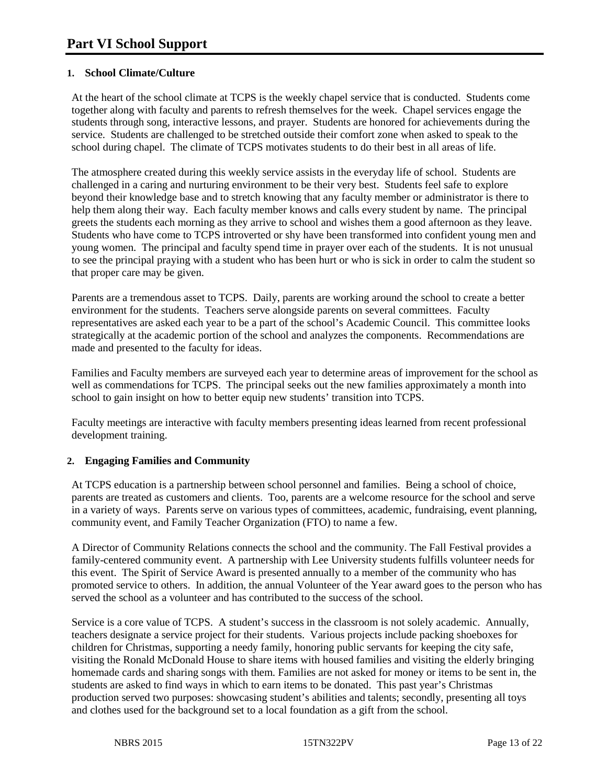## **1. School Climate/Culture**

At the heart of the school climate at TCPS is the weekly chapel service that is conducted. Students come together along with faculty and parents to refresh themselves for the week. Chapel services engage the students through song, interactive lessons, and prayer. Students are honored for achievements during the service. Students are challenged to be stretched outside their comfort zone when asked to speak to the school during chapel. The climate of TCPS motivates students to do their best in all areas of life.

The atmosphere created during this weekly service assists in the everyday life of school. Students are challenged in a caring and nurturing environment to be their very best. Students feel safe to explore beyond their knowledge base and to stretch knowing that any faculty member or administrator is there to help them along their way. Each faculty member knows and calls every student by name. The principal greets the students each morning as they arrive to school and wishes them a good afternoon as they leave. Students who have come to TCPS introverted or shy have been transformed into confident young men and young women. The principal and faculty spend time in prayer over each of the students. It is not unusual to see the principal praying with a student who has been hurt or who is sick in order to calm the student so that proper care may be given.

Parents are a tremendous asset to TCPS. Daily, parents are working around the school to create a better environment for the students. Teachers serve alongside parents on several committees. Faculty representatives are asked each year to be a part of the school's Academic Council. This committee looks strategically at the academic portion of the school and analyzes the components. Recommendations are made and presented to the faculty for ideas.

Families and Faculty members are surveyed each year to determine areas of improvement for the school as well as commendations for TCPS. The principal seeks out the new families approximately a month into school to gain insight on how to better equip new students' transition into TCPS.

Faculty meetings are interactive with faculty members presenting ideas learned from recent professional development training.

#### **2. Engaging Families and Community**

At TCPS education is a partnership between school personnel and families. Being a school of choice, parents are treated as customers and clients. Too, parents are a welcome resource for the school and serve in a variety of ways. Parents serve on various types of committees, academic, fundraising, event planning, community event, and Family Teacher Organization (FTO) to name a few.

A Director of Community Relations connects the school and the community. The Fall Festival provides a family-centered community event. A partnership with Lee University students fulfills volunteer needs for this event. The Spirit of Service Award is presented annually to a member of the community who has promoted service to others. In addition, the annual Volunteer of the Year award goes to the person who has served the school as a volunteer and has contributed to the success of the school.

Service is a core value of TCPS. A student's success in the classroom is not solely academic. Annually, teachers designate a service project for their students. Various projects include packing shoeboxes for children for Christmas, supporting a needy family, honoring public servants for keeping the city safe, visiting the Ronald McDonald House to share items with housed families and visiting the elderly bringing homemade cards and sharing songs with them. Families are not asked for money or items to be sent in, the students are asked to find ways in which to earn items to be donated. This past year's Christmas production served two purposes: showcasing student's abilities and talents; secondly, presenting all toys and clothes used for the background set to a local foundation as a gift from the school.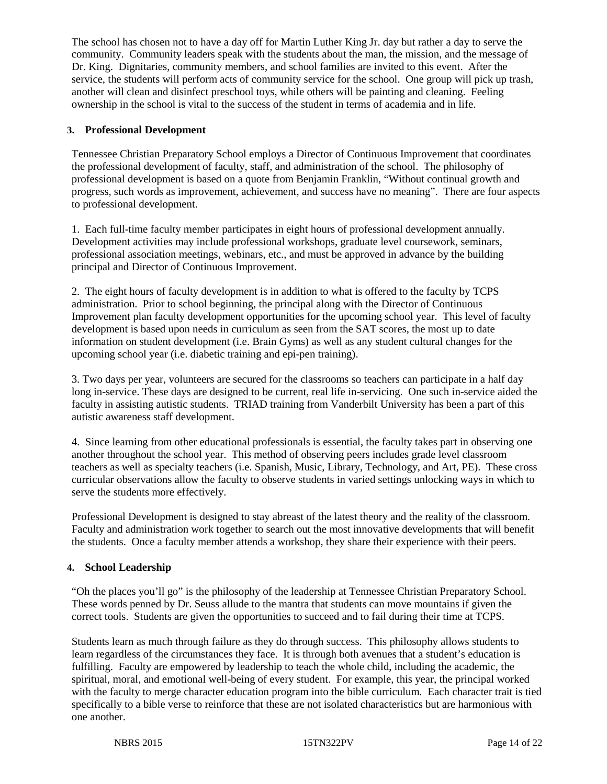The school has chosen not to have a day off for Martin Luther King Jr. day but rather a day to serve the community. Community leaders speak with the students about the man, the mission, and the message of Dr. King. Dignitaries, community members, and school families are invited to this event. After the service, the students will perform acts of community service for the school. One group will pick up trash, another will clean and disinfect preschool toys, while others will be painting and cleaning. Feeling ownership in the school is vital to the success of the student in terms of academia and in life.

## **3. Professional Development**

Tennessee Christian Preparatory School employs a Director of Continuous Improvement that coordinates the professional development of faculty, staff, and administration of the school. The philosophy of professional development is based on a quote from Benjamin Franklin, "Without continual growth and progress, such words as improvement, achievement, and success have no meaning". There are four aspects to professional development.

1. Each full-time faculty member participates in eight hours of professional development annually. Development activities may include professional workshops, graduate level coursework, seminars, professional association meetings, webinars, etc., and must be approved in advance by the building principal and Director of Continuous Improvement.

2. The eight hours of faculty development is in addition to what is offered to the faculty by TCPS administration. Prior to school beginning, the principal along with the Director of Continuous Improvement plan faculty development opportunities for the upcoming school year. This level of faculty development is based upon needs in curriculum as seen from the SAT scores, the most up to date information on student development (i.e. Brain Gyms) as well as any student cultural changes for the upcoming school year (i.e. diabetic training and epi-pen training).

3. Two days per year, volunteers are secured for the classrooms so teachers can participate in a half day long in-service. These days are designed to be current, real life in-servicing. One such in-service aided the faculty in assisting autistic students. TRIAD training from Vanderbilt University has been a part of this autistic awareness staff development.

4. Since learning from other educational professionals is essential, the faculty takes part in observing one another throughout the school year. This method of observing peers includes grade level classroom teachers as well as specialty teachers (i.e. Spanish, Music, Library, Technology, and Art, PE). These cross curricular observations allow the faculty to observe students in varied settings unlocking ways in which to serve the students more effectively.

Professional Development is designed to stay abreast of the latest theory and the reality of the classroom. Faculty and administration work together to search out the most innovative developments that will benefit the students. Once a faculty member attends a workshop, they share their experience with their peers.

#### **4. School Leadership**

"Oh the places you'll go" is the philosophy of the leadership at Tennessee Christian Preparatory School. These words penned by Dr. Seuss allude to the mantra that students can move mountains if given the correct tools. Students are given the opportunities to succeed and to fail during their time at TCPS.

Students learn as much through failure as they do through success. This philosophy allows students to learn regardless of the circumstances they face. It is through both avenues that a student's education is fulfilling. Faculty are empowered by leadership to teach the whole child, including the academic, the spiritual, moral, and emotional well-being of every student. For example, this year, the principal worked with the faculty to merge character education program into the bible curriculum. Each character trait is tied specifically to a bible verse to reinforce that these are not isolated characteristics but are harmonious with one another.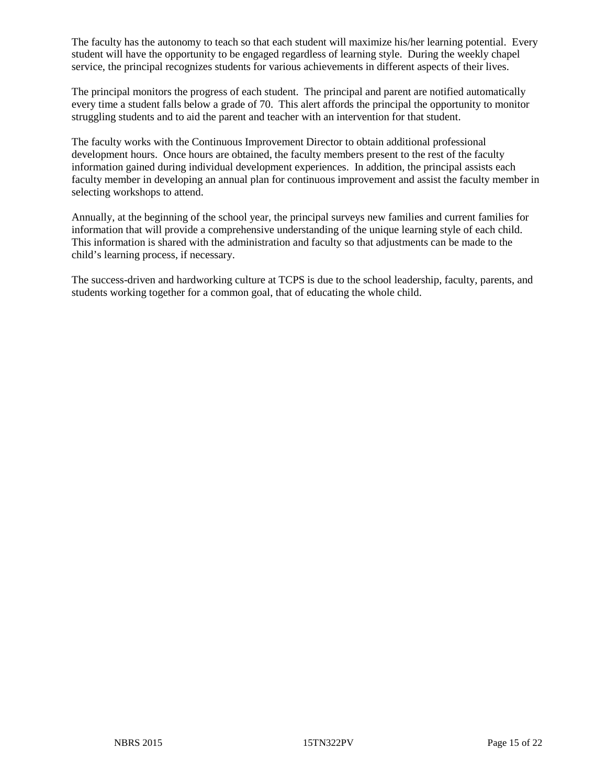The faculty has the autonomy to teach so that each student will maximize his/her learning potential. Every student will have the opportunity to be engaged regardless of learning style. During the weekly chapel service, the principal recognizes students for various achievements in different aspects of their lives.

The principal monitors the progress of each student. The principal and parent are notified automatically every time a student falls below a grade of 70. This alert affords the principal the opportunity to monitor struggling students and to aid the parent and teacher with an intervention for that student.

The faculty works with the Continuous Improvement Director to obtain additional professional development hours. Once hours are obtained, the faculty members present to the rest of the faculty information gained during individual development experiences. In addition, the principal assists each faculty member in developing an annual plan for continuous improvement and assist the faculty member in selecting workshops to attend.

Annually, at the beginning of the school year, the principal surveys new families and current families for information that will provide a comprehensive understanding of the unique learning style of each child. This information is shared with the administration and faculty so that adjustments can be made to the child's learning process, if necessary.

The success-driven and hardworking culture at TCPS is due to the school leadership, faculty, parents, and students working together for a common goal, that of educating the whole child.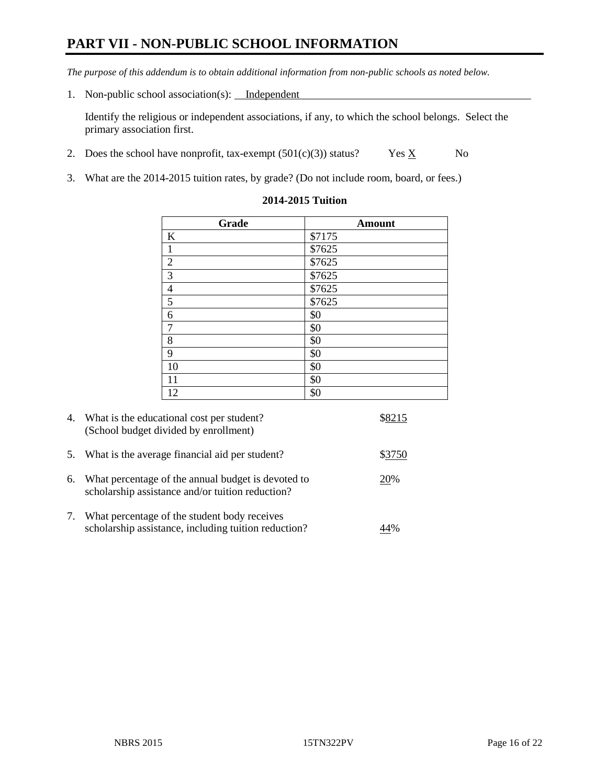# **PART VII - NON-PUBLIC SCHOOL INFORMATION**

*The purpose of this addendum is to obtain additional information from non-public schools as noted below.*

1. Non-public school association(s): Independent

Identify the religious or independent associations, if any, to which the school belongs. Select the primary association first.

- 2. Does the school have nonprofit, tax-exempt  $(501(c)(3))$  status? Yes  $\underline{X}$  No
- 3. What are the 2014-2015 tuition rates, by grade? (Do not include room, board, or fees.)

| Grade            | <b>Amount</b>  |
|------------------|----------------|
| $\bf K$          | \$7175         |
| $\,1\,$          | $\sqrt{$7625}$ |
| $\overline{2}$   | \$7625         |
| $\overline{3}$   | \$7625         |
| $\frac{4}{5}$    | \$7625         |
|                  | \$7625         |
| $\boldsymbol{6}$ | \$0            |
| $\overline{7}$   | \$0            |
| $\,8\,$          | \$0            |
| $\overline{9}$   | \$0            |
| 10               | \$0            |
| 11               | \$0            |
| 12               | \$0            |

#### **2014-2015 Tuition**

| 4. | What is the educational cost per student?<br>(School budget divided by enrollment)                     |        |
|----|--------------------------------------------------------------------------------------------------------|--------|
| 5. | What is the average financial aid per student?                                                         | \$3750 |
| 6. | What percentage of the annual budget is devoted to<br>scholarship assistance and/or tuition reduction? | 20%    |
| 7. | What percentage of the student body receives<br>scholarship assistance, including tuition reduction?   |        |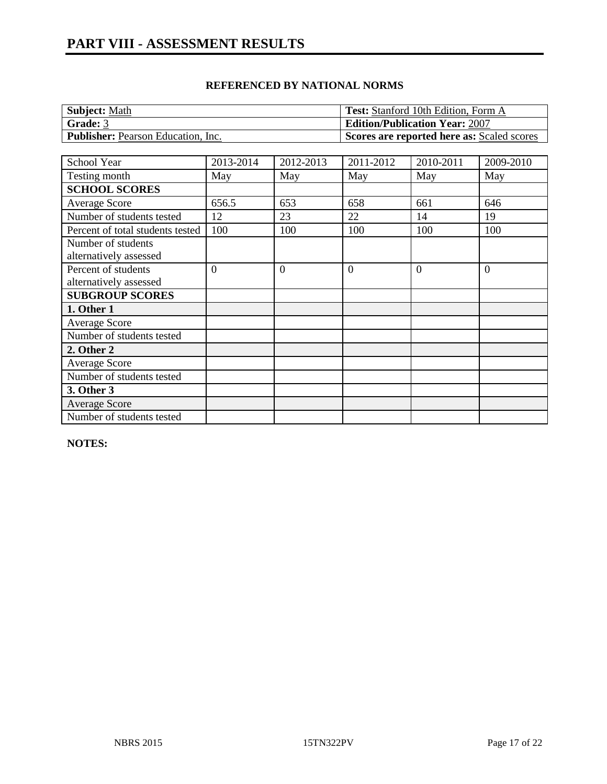| <b>Subject: Math</b>                      | <b>Test:</b> Stanford 10th Edition, Form A |
|-------------------------------------------|--------------------------------------------|
| Grade: 3                                  | <b>Edition/Publication Year: 2007</b>      |
| <b>Publisher:</b> Pearson Education, Inc. | Scores are reported here as: Scaled scores |

| School Year                      | 2013-2014 | 2012-2013 | 2011-2012      | 2010-2011 | 2009-2010 |
|----------------------------------|-----------|-----------|----------------|-----------|-----------|
| Testing month                    | May       | May       | May            | May       | May       |
| <b>SCHOOL SCORES</b>             |           |           |                |           |           |
| <b>Average Score</b>             | 656.5     | 653       | 658            | 661       | 646       |
| Number of students tested        | 12        | 23        | 22             | 14        | 19        |
| Percent of total students tested | 100       | 100       | 100            | 100       | 100       |
| Number of students               |           |           |                |           |           |
| alternatively assessed           |           |           |                |           |           |
| Percent of students              | $\Omega$  | $\Omega$  | $\overline{0}$ | $\Omega$  | $\theta$  |
| alternatively assessed           |           |           |                |           |           |
| <b>SUBGROUP SCORES</b>           |           |           |                |           |           |
| 1. Other 1                       |           |           |                |           |           |
| <b>Average Score</b>             |           |           |                |           |           |
| Number of students tested        |           |           |                |           |           |
| 2. Other 2                       |           |           |                |           |           |
| <b>Average Score</b>             |           |           |                |           |           |
| Number of students tested        |           |           |                |           |           |
| 3. Other 3                       |           |           |                |           |           |
| <b>Average Score</b>             |           |           |                |           |           |
| Number of students tested        |           |           |                |           |           |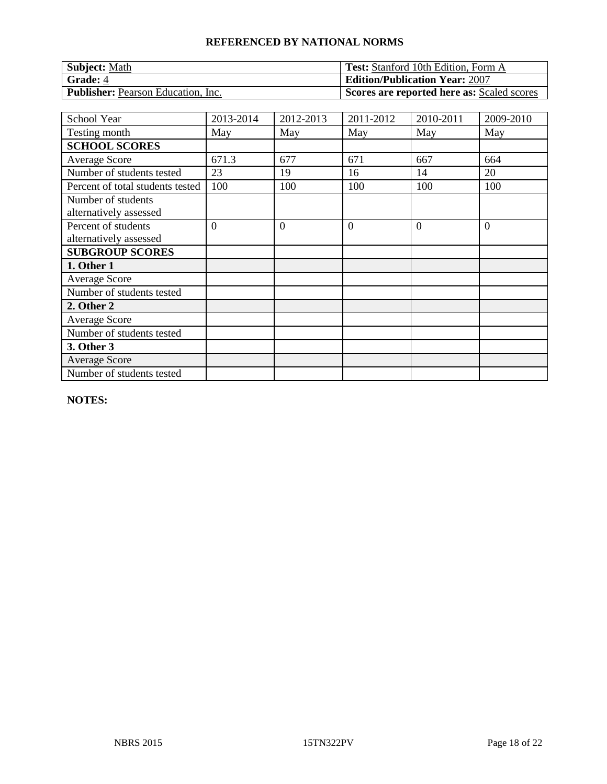| Subject: Math                             | <b>Test:</b> Stanford 10th Edition, Form A |
|-------------------------------------------|--------------------------------------------|
| Grade: 4                                  | <b>Edition/Publication Year: 2007</b>      |
| <b>Publisher:</b> Pearson Education, Inc. | Scores are reported here as: Scaled scores |

| School Year                                   | 2013-2014 | 2012-2013      | 2011-2012      | 2010-2011 | 2009-2010      |
|-----------------------------------------------|-----------|----------------|----------------|-----------|----------------|
| Testing month                                 | May       | May            | May            | May       | May            |
| <b>SCHOOL SCORES</b>                          |           |                |                |           |                |
| <b>Average Score</b>                          | 671.3     | 677            | 671            | 667       | 664            |
| Number of students tested                     | 23        | 19             | 16             | 14        | 20             |
| Percent of total students tested              | 100       | 100            | 100            | 100       | 100            |
| Number of students<br>alternatively assessed  |           |                |                |           |                |
| Percent of students<br>alternatively assessed | $\theta$  | $\overline{0}$ | $\overline{0}$ | $\Omega$  | $\overline{0}$ |
| <b>SUBGROUP SCORES</b>                        |           |                |                |           |                |
| 1. Other 1                                    |           |                |                |           |                |
| <b>Average Score</b>                          |           |                |                |           |                |
| Number of students tested                     |           |                |                |           |                |
| 2. Other 2                                    |           |                |                |           |                |
| <b>Average Score</b>                          |           |                |                |           |                |
| Number of students tested                     |           |                |                |           |                |
| 3. Other 3                                    |           |                |                |           |                |
| <b>Average Score</b>                          |           |                |                |           |                |
| Number of students tested                     |           |                |                |           |                |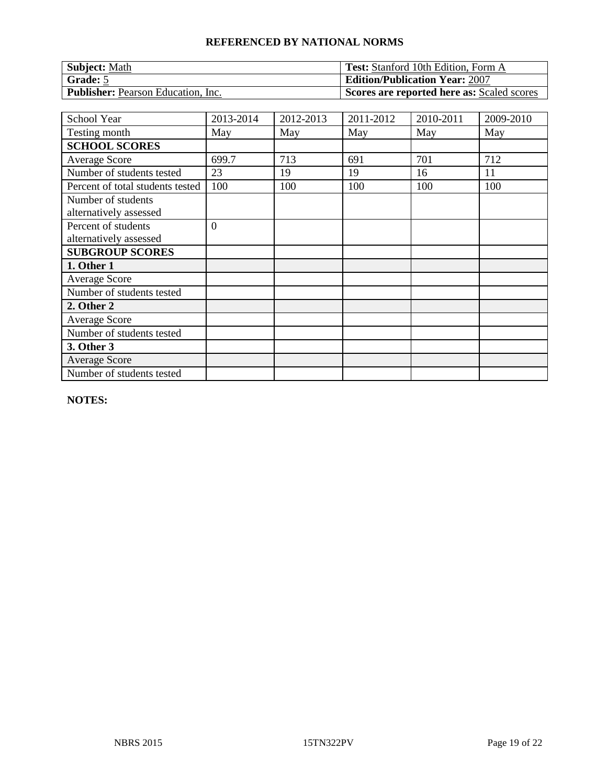| Subject: Math                             | <b>Test:</b> Stanford 10th Edition, Form A |
|-------------------------------------------|--------------------------------------------|
| Grade: 5                                  | <b>Edition/Publication Year: 2007</b>      |
| <b>Publisher:</b> Pearson Education, Inc. | Scores are reported here as: Scaled scores |

| School Year                                   | 2013-2014      | 2012-2013 | 2011-2012 | 2010-2011 | 2009-2010 |
|-----------------------------------------------|----------------|-----------|-----------|-----------|-----------|
| Testing month                                 | May            | May       | May       | May       | May       |
| <b>SCHOOL SCORES</b>                          |                |           |           |           |           |
| <b>Average Score</b>                          | 699.7          | 713       | 691       | 701       | 712       |
| Number of students tested                     | 23             | 19        | 19        | 16        | 11        |
| Percent of total students tested              | 100            | 100       | 100       | 100       | 100       |
| Number of students<br>alternatively assessed  |                |           |           |           |           |
| Percent of students<br>alternatively assessed | $\overline{0}$ |           |           |           |           |
| <b>SUBGROUP SCORES</b>                        |                |           |           |           |           |
| 1. Other 1                                    |                |           |           |           |           |
| <b>Average Score</b>                          |                |           |           |           |           |
| Number of students tested                     |                |           |           |           |           |
| 2. Other 2                                    |                |           |           |           |           |
| <b>Average Score</b>                          |                |           |           |           |           |
| Number of students tested                     |                |           |           |           |           |
| 3. Other 3                                    |                |           |           |           |           |
| <b>Average Score</b>                          |                |           |           |           |           |
| Number of students tested                     |                |           |           |           |           |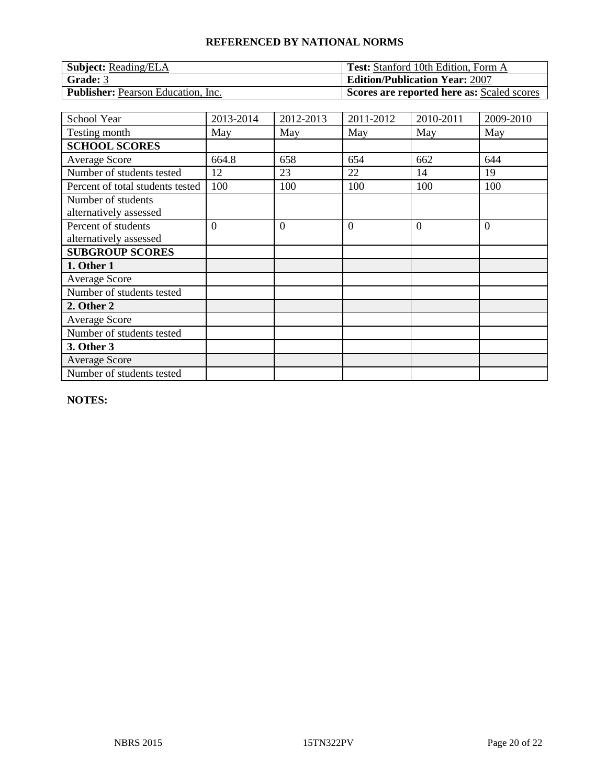| <b>Subject:</b> Reading/ELA               | <b>Test:</b> Stanford 10th Edition, Form A |
|-------------------------------------------|--------------------------------------------|
| Grade: 3                                  | <b>Edition/Publication Year: 2007</b>      |
| <b>Publisher:</b> Pearson Education, Inc. | Scores are reported here as: Scaled scores |

| School Year                                   | 2013-2014      | 2012-2013      | 2011-2012      | 2010-2011 | 2009-2010      |
|-----------------------------------------------|----------------|----------------|----------------|-----------|----------------|
| Testing month                                 | May            | May            | May            | May       | May            |
| <b>SCHOOL SCORES</b>                          |                |                |                |           |                |
| Average Score                                 | 664.8          | 658            | 654            | 662       | 644            |
| Number of students tested                     | 12             | 23             | 22             | 14        | 19             |
| Percent of total students tested              | 100            | 100            | 100            | 100       | 100            |
| Number of students<br>alternatively assessed  |                |                |                |           |                |
| Percent of students<br>alternatively assessed | $\overline{0}$ | $\overline{0}$ | $\overline{0}$ | $\theta$  | $\overline{0}$ |
| <b>SUBGROUP SCORES</b>                        |                |                |                |           |                |
| 1. Other 1                                    |                |                |                |           |                |
| <b>Average Score</b>                          |                |                |                |           |                |
| Number of students tested                     |                |                |                |           |                |
| 2. Other 2                                    |                |                |                |           |                |
| <b>Average Score</b>                          |                |                |                |           |                |
| Number of students tested                     |                |                |                |           |                |
| 3. Other 3                                    |                |                |                |           |                |
| <b>Average Score</b>                          |                |                |                |           |                |
| Number of students tested                     |                |                |                |           |                |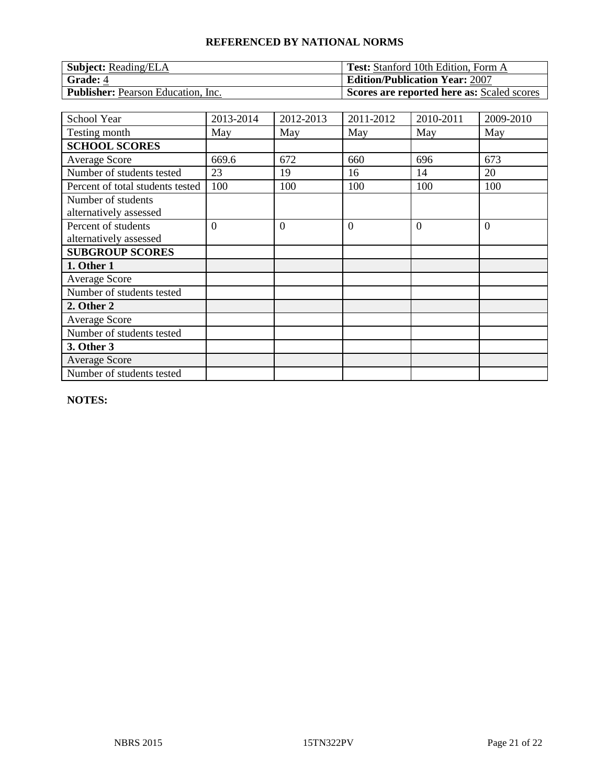| <b>Subject:</b> Reading/ELA               | <b>Test:</b> Stanford 10th Edition, Form A |
|-------------------------------------------|--------------------------------------------|
| Grade: 4                                  | <b>Edition/Publication Year: 2007</b>      |
| <b>Publisher:</b> Pearson Education, Inc. | Scores are reported here as: Scaled scores |

| School Year                                   | 2013-2014      | 2012-2013      | 2011-2012      | 2010-2011 | 2009-2010      |
|-----------------------------------------------|----------------|----------------|----------------|-----------|----------------|
| Testing month                                 | May            | May            | May            | May       | May            |
| <b>SCHOOL SCORES</b>                          |                |                |                |           |                |
| <b>Average Score</b>                          | 669.6          | 672            | 660            | 696       | 673            |
| Number of students tested                     | 23             | 19             | 16             | 14        | 20             |
| Percent of total students tested              | 100            | 100            | 100            | 100       | 100            |
| Number of students<br>alternatively assessed  |                |                |                |           |                |
| Percent of students<br>alternatively assessed | $\overline{0}$ | $\overline{0}$ | $\overline{0}$ | $\Omega$  | $\overline{0}$ |
| <b>SUBGROUP SCORES</b>                        |                |                |                |           |                |
| 1. Other 1                                    |                |                |                |           |                |
| <b>Average Score</b>                          |                |                |                |           |                |
| Number of students tested                     |                |                |                |           |                |
| 2. Other 2                                    |                |                |                |           |                |
| <b>Average Score</b>                          |                |                |                |           |                |
| Number of students tested                     |                |                |                |           |                |
| 3. Other 3                                    |                |                |                |           |                |
| <b>Average Score</b>                          |                |                |                |           |                |
| Number of students tested                     |                |                |                |           |                |